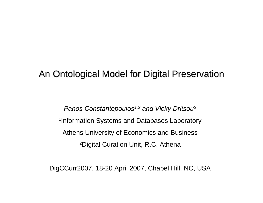# An Ontological Model for Digital Preservation An Ontological Model for Digital Preservation

*Panos Constantopoulos1,2 and Vicky Dritsou2* 1Information Systems and Databases Laboratory Athens University of Economics and Business 2Digital Curation Unit, R.C. Athena

DigCCurr2007, 18-20 April 2007, Chapel Hill, NC, USA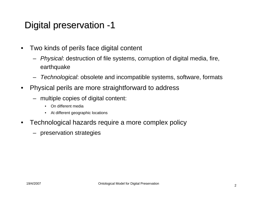### Digital preservation - 1

- • Two kinds of perils face digital content
	- *Physical*: destruction of file systems, corruption of digital media, fire, earthquake
	- *Technological*: obsolete and incompatible systems, software, formats
- • Physical perils are more straightforward to address
	- multiple copies of digital content:
		- On different media
		- $\bullet$ At different geographic locations
- • Technological hazards require a more complex policy
	- preservation strategies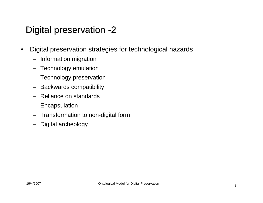### Digital preservation - 2

- • Digital preservation strategies for technological hazards
	- Information migration
	- Technology emulation
	- Technology preservation
	- Backwards compatibility
	- Reliance on standards
	- Encapsulation
	- Transformation to non-digital form
	- Digital archeology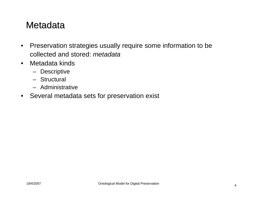## Metadata

- $\bullet$  Preservation strategies usually require some information to be collected and stored: *metadata*
- $\bullet$  Metadata kinds
	- Descriptive
	- Structural
	- Administrative
- $\bullet$ Several metadata sets for preservation exist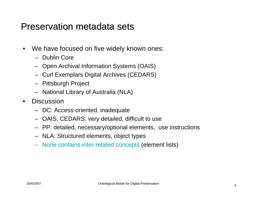### Preservation metadata sets

- • We have focused on five widely known ones:
	- Dublin Core
	- Open Archival Information Systems (OAIS)
	- Curl Exemplars Digital Archives (CEDARS)
	- Pittsburgh Project
	- National Library of Australia (NLA)
- •**Discussion** 
	- DC: Access-oriented, inadequate
	- OAIS, CEDARS: very detailed, difficult to use
	- PP: detailed, necessary/optional elements, use instructions
	- NLA: Structured elements, object types
	- None contains inter-related concepts (element lists)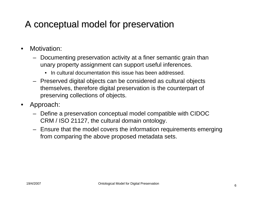# A conceptual model for preservation A conceptual model for preservation

- •Motivation:
	- Documenting preservation activity at a finer semantic grain than unary property assignment can support useful inferences.
		- In cultural documentation this issue has been addressed.
	- Preserved digital objects can be considered as cultural objects themselves, therefore digital preservation is the counterpart of preserving collections of objects.
- • Approach:
	- Define a preservation conceptual model compatible with CIDOC CRM / ISO 21127, the cultural domain ontology.
	- Ensure that the model covers the information requirements emerging from comparing the above proposed metadata sets.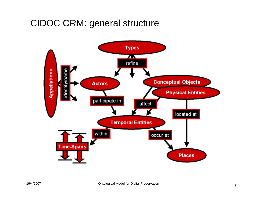# CIDOC CRM: general structure

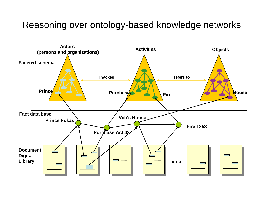# Reasoning over ontology-based knowledge networks

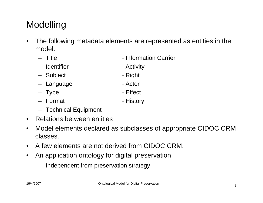# Modelling

- • The following metadata elements are represented as entities in the model:
	- Title
	- Identifier
	- Subject Right
	- Language Actor
	- –
	- Format-
	- Technical Equipment
- •Relations between entities
- • Model elements declared as subclasses of appropriate CIDOC CRM classes.
- A few elements are not derived from CIDOC CRM.
- • An application ontology for digital preservation
	- Independent from preservation strategy
- Information Carrier
- Activity
- 
- 
- Effect

- History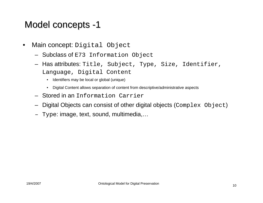### Model concepts - 1

- • Main concept: Digital Object
	- Subclass of E73 Information Object
	- Has attributes: Title, Subject, Type, Size, Identifier, Language, Digital Content
		- Identifiers may be local or global (unique)
		- •Digital Content allows separation of content from descriptive/administrative aspects
	- Stored in an Information Carrier
	- Digital Objects can consist of other digital objects (Complex Object)
	- $\,$   $_{\rm TYP}$ e: image, text, sound, multimedia,…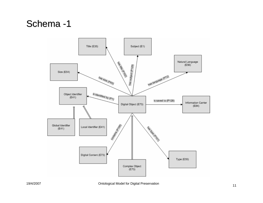### Schema - 1

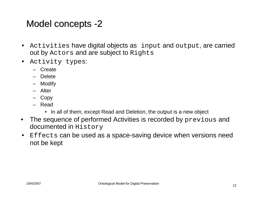#### Model concepts - 2

- Activities have digital objects as input and output, are carried out by Actors and are subject to Rights
- Activity types:
	- Create
	- Delete
	- Modify
	- Alter
	- Copy
	- Read
		- In all of them, except Read and Deletion, the output is a new object
- • The sequence of performed Activities is recorded by previous and documented in History
- • Effects can be used as a space-saving device when versions need not be kept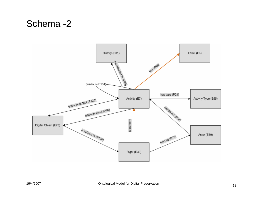### Schema - 2

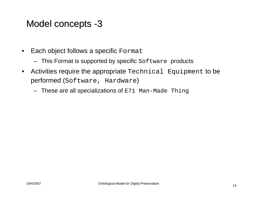#### Model concepts - 3

- •Each object follows a specific Format
	- $-$  This Format is supported by specific <code>Software products</code>
- $\bullet$  Activities require the appropriate Technical Equipment to be performed (Software, Hardware )
	- These are all specializations of E71 Man-Made Thing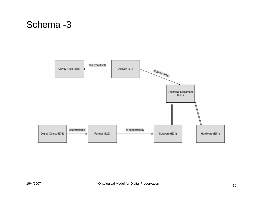#### Schema - 3

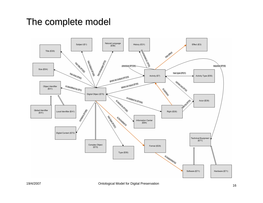## The complete model

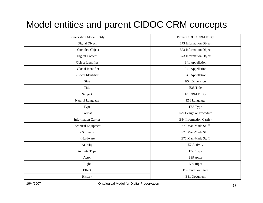# Model entities and parent CIDOC CRM concepts

| Preservation Model Entity  | Parent CIDOC CRM Entity |  |
|----------------------------|-------------------------|--|
| Digital Object             | E73 Information Object  |  |
| - Complex Object           | E73 Information Object  |  |
| Digital Content            | E73 Information Object  |  |
| Object Identifier          | E41 Appellation         |  |
| - Global Identifier        | E41 Appellation         |  |
| - Local Identifier         | E41 Appellation         |  |
| Size                       | E54 Dimension           |  |
| Title                      | E35 Title               |  |
| Subject                    | E1 CRM Entity           |  |
| Natural Language           | E56 Language            |  |
| Type                       | E55 Type                |  |
| Format                     | E29 Design or Procedure |  |
| <b>Information Carrier</b> | E84 Information Carrier |  |
| <b>Technical Equipment</b> | E71 Man-Made Stuff      |  |
| - Software                 | E71 Man-Made Stuff      |  |
| - Hardware                 | E71 Man-Made Stuff      |  |
| Activity                   | E7 Activity             |  |
| Activity Type              | E55 Type                |  |
| Actor                      | E39 Actor               |  |
| Right                      | E30 Right               |  |
| Effect                     | E3 Condition State      |  |
| History                    | E31 Document            |  |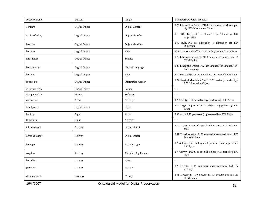| Property Name    | Domain         | Range                      | Parent CIDOC CRM Property                                                              |
|------------------|----------------|----------------------------|----------------------------------------------------------------------------------------|
| contains         | Digital Object | Digital Content            | E73 Information Object. P106 is composed of (forms part<br>of): E73 Information Object |
| is identified by | Digital Object | Object Identifier          | E1 CRM Entity. P1 is identified by (identifies): E41<br>Appellation                    |
| has size         | Digital Object | Object Identifier          | E70 Stuff. P43 has dimension (is dimension of): E54<br>Dimension                       |
| has title        | Digital Object | Title                      | E71 Man-Made Stuff. P102 has title (is title of): E35 Title                            |
| has subject      | Digital Object | Subject                    | E73 Information Object. P129 is about (is subject of): E1<br><b>CRM</b> Entity         |
| has language     | Digital Object | Natural Language           | E33 Linguistic Object. P72 has language (is language of):<br>E56 Language              |
| has type         | Digital Object | Type                       | E70 Stuff. P101 had as general use (was use of): E55 Type                              |
| is saved to      | Digital Object | <b>Information Carrier</b> | E24 Physical Man-Made Stuff. P128 carries (is carried by):<br>E73 Information Object   |
| is formatted in  | Digital Object | Format                     | $---$                                                                                  |
| is supported by  | Format         | Software                   | $\sim$                                                                                 |
| carries out      | Actor          | Activity                   | E7 Activity. P14 carried out by (performed): E39 Actor                                 |
| is subject to    | Digital Object | Right                      | E72 Legal Object. P104 is subject to (applies to): E30<br>Right                        |
| held by          | Right          | Actor                      | E39 Actor. P75 possesses (is possessed by): E30 Right                                  |
| to perform       | Right          | Activity                   | $-$                                                                                    |
| takes as input   | Activity       | Digital Object             | E7 Activity. P16 used specific object (was used for): E70<br>Stuff                     |
| gives as output  | Activity       | Digital Object             | E81 Transformation. P123 resulted in (resulted from): E77<br>Persistent Item           |
| hat type         | Activity       | Activity Type              | E7 Activity. P21 had general purpose (was purpose of):<br>E55 Type                     |
| requires         | Activity       | <b>Technical Equipment</b> | E7 Activity. P16 used specific object (was used for): E70<br>Stuff                     |
| has effect       | Activity       | Effect                     | $\overline{a}$                                                                         |
| previous         | Activity       | Activity                   | E7 Activity. P134 continued (was continued by): E7<br>Activity                         |
| documented in    | previous       | History                    | E31 Document. P70 documents (is documented in): E1<br><b>CRM</b> Entity                |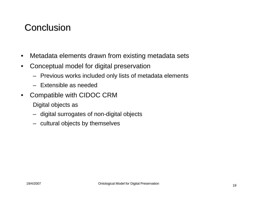# Conclusion

- •Metadata elements drawn from existing metadata sets
- • Conceptual model for digital preservation
	- Previous works included only lists of metadata elements
	- Extensible as needed
- $\bullet$ Compatible with CIDOC CRM

Digital objects as

- digital surrogates of non-digital objects
- cultural objects by themselves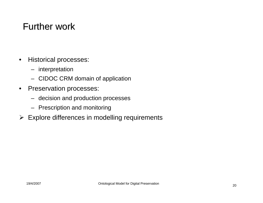# Further work

- $\bullet$  Historical processes:
	- interpretation
	- CIDOC CRM domain of application
- $\bullet$  Preservation processes:
	- decision and production processes
	- Prescription and monitoring
- $\triangleright$  Explore differences in modelling requirements